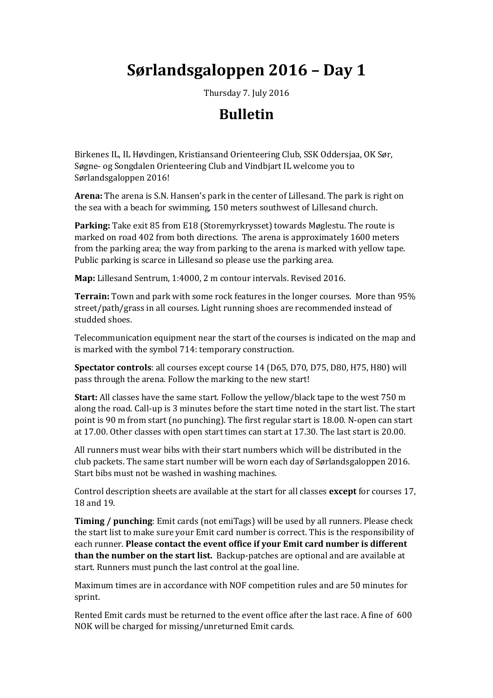# **Sørlandsgaloppen 2016 – Day 1**

Thursday 7. July 2016

## **Bulletin**

Birkenes IL, IL Høvdingen, Kristiansand Orienteering Club, SSK Oddersjaa, OK Sør, Søgne- og Songdalen Orienteering Club and Vindbjart IL welcome you to Sørlandsgaloppen 2016!

**Arena:** The arena is S.N. Hansen's park in the center of Lillesand. The park is right on the sea with a beach for swimming, 150 meters southwest of Lillesand church.

**Parking:** Take exit 85 from E18 (Storemyrkrysset) towards Møglestu. The route is marked on road 402 from both directions. The arena is approximately 1600 meters from the parking area; the way from parking to the arena is marked with yellow tape. Public parking is scarce in Lillesand so please use the parking area.

**Map:** Lillesand Sentrum, 1:4000, 2 m contour intervals. Revised 2016.

**Terrain:** Town and park with some rock features in the longer courses. More than 95% street/path/grass in all courses. Light running shoes are recommended instead of studded shoes.

Telecommunication equipment near the start of the courses is indicated on the map and is marked with the symbol 714: temporary construction.

**Spectator controls**: all courses except course 14 (D65, D70, D75, D80, H75, H80) will pass through the arena. Follow the marking to the new start!

**Start:** All classes have the same start. Follow the yellow/black tape to the west 750 m along the road. Call-up is 3 minutes before the start time noted in the start list. The start point is 90 m from start (no punching). The first regular start is 18.00. N-open can start at 17.00. Other classes with open start times can start at 17.30. The last start is 20.00.

All runners must wear bibs with their start numbers which will be distributed in the club packets. The same start number will be worn each day of Sørlandsgaloppen 2016. Start bibs must not be washed in washing machines.

Control description sheets are available at the start for all classes **except** for courses 17, 18 and 19.

**Timing / punching**: Emit cards (not emiTags) will be used by all runners. Please check the start list to make sure your Emit card number is correct. This is the responsibility of each runner. **Please contact the event office if your Emit card number is different than the number on the start list.** Backup-patches are optional and are available at start. Runners must punch the last control at the goal line.

Maximum times are in accordance with NOF competition rules and are 50 minutes for sprint.

Rented Emit cards must be returned to the event office after the last race. A fine of 600 NOK will be charged for missing/unreturned Emit cards.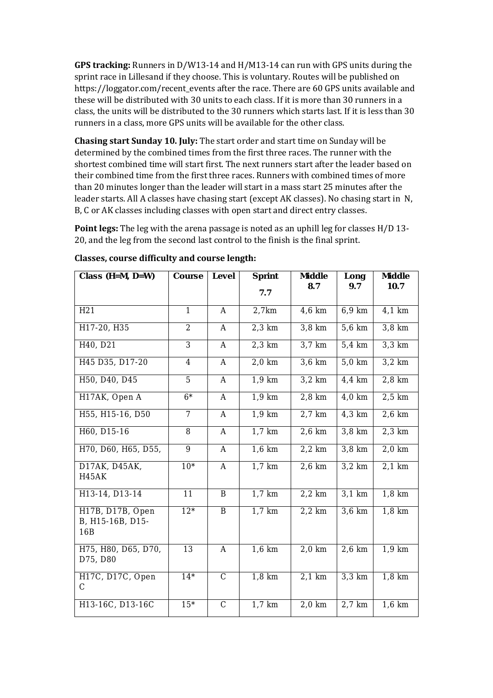**GPS tracking:** Runners in D/W13-14 and H/M13-14 can run with GPS units during the sprint race in Lillesand if they choose. This is voluntary. Routes will be published on https://loggator.com/recent\_events after the race. There are 60 GPS units available and these will be distributed with 30 units to each class. If it is more than 30 runners in a class, the units will be distributed to the 30 runners which starts last. If it is less than 30 runners in a class, more GPS units will be available for the other class.

**Chasing start Sunday 10. July:** The start order and start time on Sunday will be determined by the combined times from the first three races. The runner with the shortest combined time will start first. The next runners start after the leader based on their combined time from the first three races. Runners with combined times of more than 20 minutes longer than the leader will start in a mass start 25 minutes after the leader starts. All A classes have chasing start (except AK classes). No chasing start in N, B, C or AK classes including classes with open start and direct entry classes.

**Point legs:** The leg with the arena passage is noted as an uphill leg for classes H/D 13- 20, and the leg from the second last control to the finish is the final sprint.

| Class $(H=M, D=W)$                          | Course          | Level          | Sprint   | Middle                | Long                 | Middle               |
|---------------------------------------------|-----------------|----------------|----------|-----------------------|----------------------|----------------------|
|                                             |                 |                | 7.7      | 8.7                   | 9.7                  | 10.7                 |
| H <sub>21</sub>                             | $\mathbf{1}$    | A              | 2,7km    | 4,6 km                | 6,9 km               | 4,1 km               |
| H17-20, H35                                 | $\overline{2}$  | A              | $2,3$ km | $3,8$ km              | 5,6 km               | $3,8$ km             |
| H40, D21                                    | $\overline{3}$  | $\forall$      | $2,3$ km | $3,7$ km              | $5,4$ km             | $3,3$ km             |
| H45 D35, D17-20                             | $\overline{4}$  | $\overline{A}$ | $2,0$ km | $3,6$ km              | $5,0$ km             | $3,2$ km             |
| H50, D40, D45                               | 5               | A              | 1,9 km   | $3,2$ km              | 4,4 km               | $2,8$ km             |
| H17AK, Open A                               | $6*$            | A              | 1,9 km   | 2,8 km                | 4,0 km               | $2,5$ km             |
| H55, H15-16, D50                            | $\overline{7}$  | $\forall$      | $1,9$ km | $2,7$ km              | $4,3$ km             | $2,6$ km             |
| H60, D15-16                                 | 8               | $\overline{A}$ | $1,7$ km | $2,6$ km              | $\overline{3}$ ,8 km | $2,3$ km             |
| H70, D60, H65, D55,                         | 9               | A              | 1,6 km   | $\overline{2}$ , 2 km | 3,8 km               | $\overline{2}$ ,0 km |
| D17AK, D45AK,<br>H45AK                      | $10*$           | $\mathsf{A}$   | $1,7$ km | 2,6 km                | $3,2$ km             | $2,1$ km             |
| H13-14, D13-14                              | 11              | Β              | 1,7 km   | $2,2$ km              | $3,1$ km             | $1,8$ km             |
| H17B, D17B, Open<br>B, H15-16B, D15-<br>16B | $12*$           | B              | $1,7$ km | $2,2$ km              | $3,6$ km             | $1,8$ km             |
| H75, H80, D65, D70,<br>D75, D80             | $\overline{13}$ | A              | $1,6$ km | $2,0$ km              | 2,6 km               | 1,9 km               |
| H17C, D17C, Open<br>С                       | $14*$           | $\overline{C}$ | $1,8$ km | $2,1$ km              | $3,3$ km             | $1,8$ km             |
| H13-16C, D13-16C                            | $15*$           | $\mathsf C$    | 1,7 km   | 2,0 km                | 2,7 km               | 1,6 km               |

#### **Classes, course difficulty and course length:**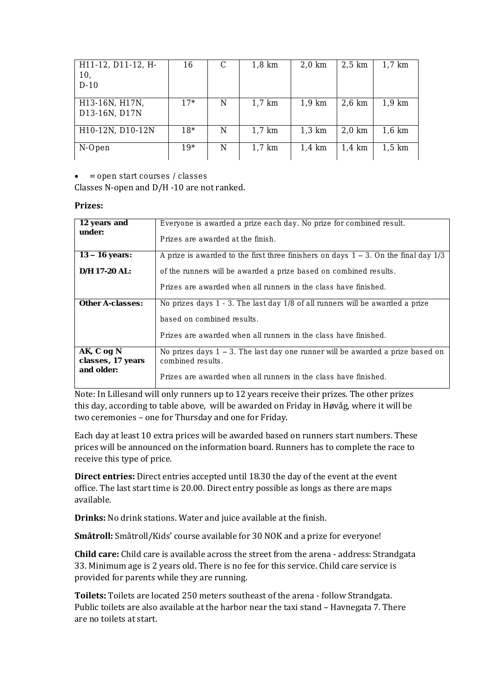| H11-12, D11-12, H-<br>10,<br>$D-10$ | 16    | C | $1,8$ km | $2,0$ km | $2,5$ km | 1,7 km           |
|-------------------------------------|-------|---|----------|----------|----------|------------------|
| H13-16N, H17N,<br>D13-16N, D17N     | $17*$ | N | $1,7$ km | 1,9 km   | 2,6 km   | 1,9 km           |
| H10-12N, D10-12N                    | $18*$ | N | $1,7$ km | 1,3 km   | $2,0$ km | 1,6 km           |
| N-Open                              | $19*$ | N | $1,7$ km | 1,4 km   | 1,4 km   | $1.5 \text{ km}$ |

**= open start courses / classes**

#### Classes N-open and D/H -10 are not ranked.

#### **Prizes:**

| 12 years and                    | Everyone is awarded a prize each day. No prize for combined result.                                    |  |  |  |
|---------------------------------|--------------------------------------------------------------------------------------------------------|--|--|--|
| under:                          | Prizes are awarded at the finish.                                                                      |  |  |  |
| $13 - 16$ years:                | A prize is awarded to the first three finishers on days $1 - 3$ . On the final day $1/3$               |  |  |  |
| $D/H$ 17-20 AL:                 | of the runners will be awarded a prize based on combined results.                                      |  |  |  |
|                                 | Prizes are awarded when all runners in the class have finished.                                        |  |  |  |
| Other A-classes:                | No prizes days 1 - 3. The last day 1/8 of all runners will be awarded a prize                          |  |  |  |
|                                 | based on combined results.                                                                             |  |  |  |
|                                 | Prizes are awarded when all runners in the class have finished.                                        |  |  |  |
| AK, C og N<br>classes, 17 years | No prizes days $1 - 3$ . The last day one runner will be awarded a prize based on<br>combined results. |  |  |  |
| and older:                      | Prizes are awarded when all runners in the class have finished.                                        |  |  |  |

Note: In Lillesand will only runners up to 12 years receive their prizes. The other prizes this day, according to table above, will be awarded on Friday in Høvåg, where it will be two ceremonies – one for Thursday and one for Friday.

Each day at least 10 extra prices will be awarded based on runners start numbers. These prices will be announced on the information board. Runners has to complete the race to receive this type of price.

**Direct entries:** Direct entries accepted until 18.30 the day of the event at the event office. The last start time is 20.00. Direct entry possible as longs as there are maps available.

**Drinks:** No drink stations. Water and juice available at the finish.

**Småtroll:** Småtroll/Kids' course available for 30 NOK and a prize for everyone!

**Child care:** Child care is available across the street from the arena - address: Strandgata 33. Minimum age is 2 years old. There is no fee for this service. Child care service is provided for parents while they are running.

**Toilets:** Toilets are located 250 meters southeast of the arena - follow Strandgata. Public toilets are also available at the harbor near the taxi stand – Havnegata 7. There are no toilets at start.